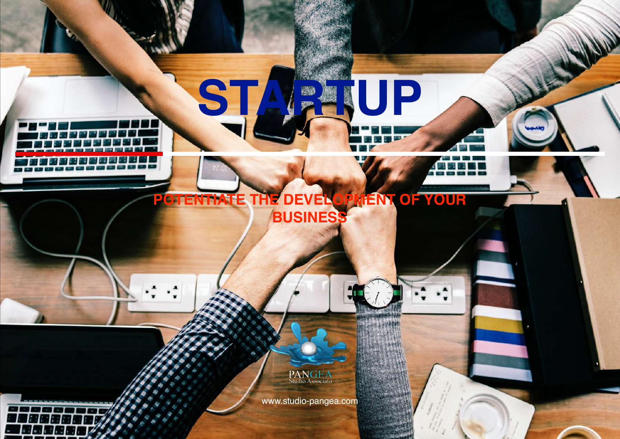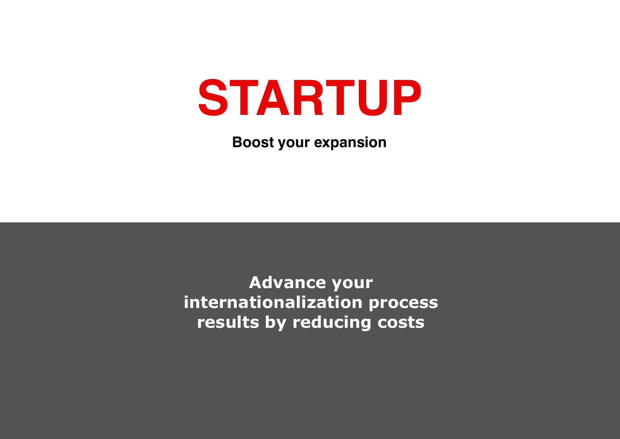# **STARTUP**

**Boost your expansion**

**Advance your internationalization process results by reducing costs**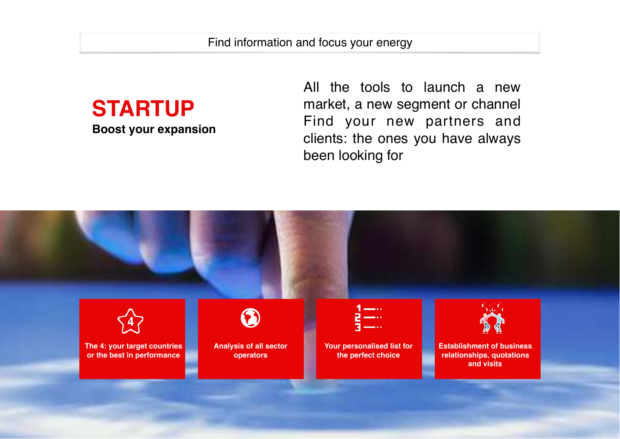

**Boost your expansion**

All the tools to launch a new market, a new segment or channel Find your new partners and clients: the ones you have always been looking for

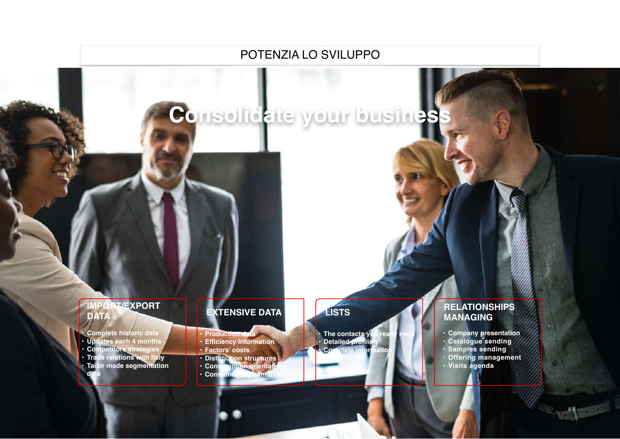

POTENZIA LO SVILUPPO

#### **IMPORT/EXPORT DATA**

- **• Complete historic data**
- **• Updates each 4 months**
- **• Competitors strategies**

**data**

**• Trade relations with Italy • Tailor made segmentation** 

### **EXTENSIVE DATA**

- **• Production data**
- **• Efficiency information**
- **• Factors' costs**
- **• Distribution structures**
- **• Consumption orientations**
- **• Consumer segmentation**

## **LISTS**

**• The contacts you really need • Detailed profiling • Complete information**

#### **RELATIONSHIPS MANAGING**

- **• Company presentation**
- **• Catalogue sending**
- **• Samples sending**
- **• Offering management**
- **• Visits agenda**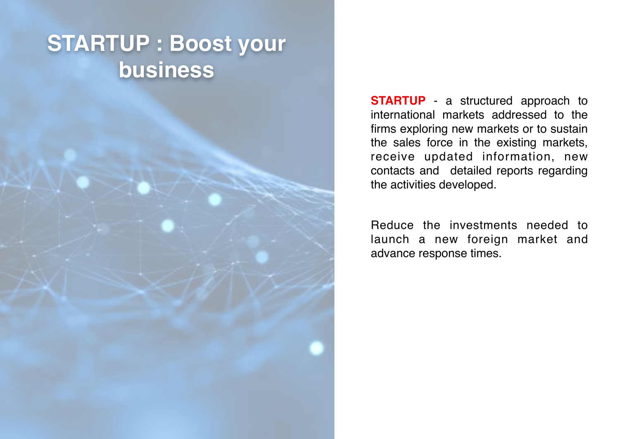# **STARTUP : Boost your business**

**STARTUP** - a structured approach to international markets addressed to the firms exploring new markets or to sustain the sales force in the existing markets, receive updated information, new contacts and detailed reports regarding the activities developed.

Reduce the investments needed to launch a new foreign market and advance response times.